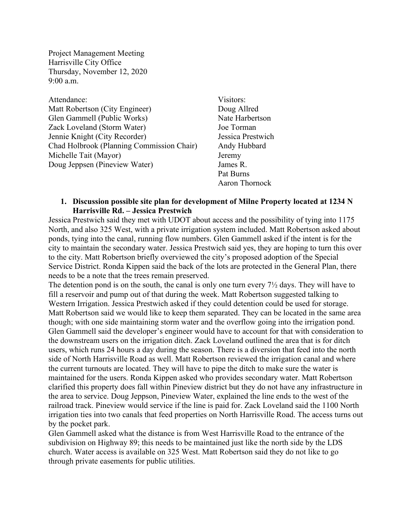Project Management Meeting Harrisville City Office Thursday, November 12, 2020 9:00 a.m.

Attendance: Visitors: Matt Robertson (City Engineer) Doug Allred Glen Gammell (Public Works) Nate Harbertson Zack Loveland (Storm Water) Joe Torman Jennie Knight (City Recorder) Jessica Prestwich Chad Holbrook (Planning Commission Chair) Andy Hubbard Michelle Tait (Mayor) Jeremy Doug Jeppsen (Pineview Water) James R.

Pat Burns Aaron Thornock

## **1. Discussion possible site plan for development of Milne Property located at 1234 N Harrisville Rd. – Jessica Prestwich**

Jessica Prestwich said they met with UDOT about access and the possibility of tying into 1175 North, and also 325 West, with a private irrigation system included. Matt Robertson asked about ponds, tying into the canal, running flow numbers. Glen Gammell asked if the intent is for the city to maintain the secondary water. Jessica Prestwich said yes, they are hoping to turn this over to the city. Matt Robertson briefly overviewed the city's proposed adoption of the Special Service District. Ronda Kippen said the back of the lots are protected in the General Plan, there needs to be a note that the trees remain preserved.

The detention pond is on the south, the canal is only one turn every 7½ days. They will have to fill a reservoir and pump out of that during the week. Matt Robertson suggested talking to Western Irrigation. Jessica Prestwich asked if they could detention could be used for storage. Matt Robertson said we would like to keep them separated. They can be located in the same area though; with one side maintaining storm water and the overflow going into the irrigation pond. Glen Gammell said the developer's engineer would have to account for that with consideration to the downstream users on the irrigation ditch. Zack Loveland outlined the area that is for ditch users, which runs 24 hours a day during the season. There is a diversion that feed into the north side of North Harrisville Road as well. Matt Robertson reviewed the irrigation canal and where the current turnouts are located. They will have to pipe the ditch to make sure the water is maintained for the users. Ronda Kippen asked who provides secondary water. Matt Robertson clarified this property does fall within Pineview district but they do not have any infrastructure in the area to service. Doug Jeppson, Pineview Water, explained the line ends to the west of the railroad track. Pineview would service if the line is paid for. Zack Loveland said the 1100 North irrigation ties into two canals that feed properties on North Harrisville Road. The access turns out by the pocket park.

Glen Gammell asked what the distance is from West Harrisville Road to the entrance of the subdivision on Highway 89; this needs to be maintained just like the north side by the LDS church. Water access is available on 325 West. Matt Robertson said they do not like to go through private easements for public utilities.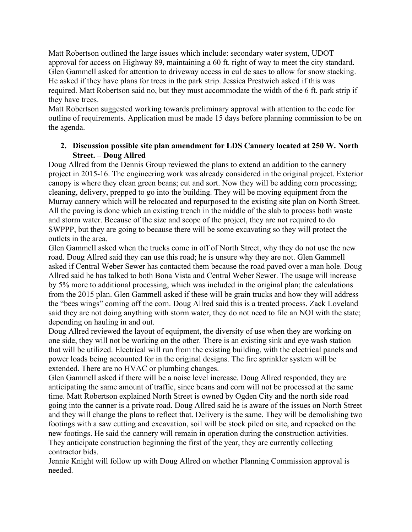Matt Robertson outlined the large issues which include: secondary water system, UDOT approval for access on Highway 89, maintaining a 60 ft. right of way to meet the city standard. Glen Gammell asked for attention to driveway access in cul de sacs to allow for snow stacking. He asked if they have plans for trees in the park strip. Jessica Prestwich asked if this was required. Matt Robertson said no, but they must accommodate the width of the 6 ft. park strip if they have trees.

Matt Robertson suggested working towards preliminary approval with attention to the code for outline of requirements. Application must be made 15 days before planning commission to be on the agenda.

## **2. Discussion possible site plan amendment for LDS Cannery located at 250 W. North Street. – Doug Allred**

Doug Allred from the Dennis Group reviewed the plans to extend an addition to the cannery project in 2015-16. The engineering work was already considered in the original project. Exterior canopy is where they clean green beans; cut and sort. Now they will be adding corn processing; cleaning, delivery, prepped to go into the building. They will be moving equipment from the Murray cannery which will be relocated and repurposed to the existing site plan on North Street. All the paving is done which an existing trench in the middle of the slab to process both waste and storm water. Because of the size and scope of the project, they are not required to do SWPPP, but they are going to because there will be some excavating so they will protect the outlets in the area.

Glen Gammell asked when the trucks come in off of North Street, why they do not use the new road. Doug Allred said they can use this road; he is unsure why they are not. Glen Gammell asked if Central Weber Sewer has contacted them because the road paved over a man hole. Doug Allred said he has talked to both Bona Vista and Central Weber Sewer. The usage will increase by 5% more to additional processing, which was included in the original plan; the calculations from the 2015 plan. Glen Gammell asked if these will be grain trucks and how they will address the "bees wings" coming off the corn. Doug Allred said this is a treated process. Zack Loveland said they are not doing anything with storm water, they do not need to file an NOI with the state; depending on hauling in and out.

Doug Allred reviewed the layout of equipment, the diversity of use when they are working on one side, they will not be working on the other. There is an existing sink and eye wash station that will be utilized. Electrical will run from the existing building, with the electrical panels and power loads being accounted for in the original designs. The fire sprinkler system will be extended. There are no HVAC or plumbing changes.

Glen Gammell asked if there will be a noise level increase. Doug Allred responded, they are anticipating the same amount of traffic, since beans and corn will not be processed at the same time. Matt Robertson explained North Street is owned by Ogden City and the north side road going into the canner is a private road. Doug Allred said he is aware of the issues on North Street and they will change the plans to reflect that. Delivery is the same. They will be demolishing two footings with a saw cutting and excavation, soil will be stock piled on site, and repacked on the new footings. He said the cannery will remain in operation during the construction activities. They anticipate construction beginning the first of the year, they are currently collecting contractor bids.

Jennie Knight will follow up with Doug Allred on whether Planning Commission approval is needed.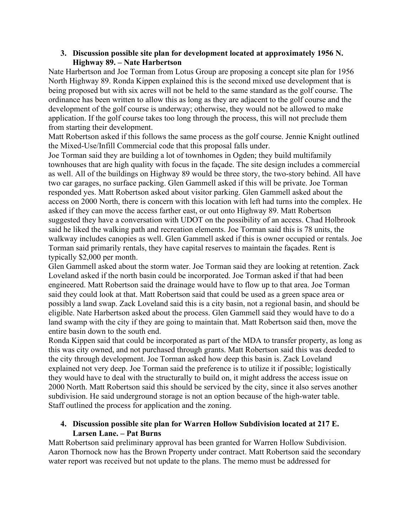## **3. Discussion possible site plan for development located at approximately 1956 N. Highway 89. – Nate Harbertson**

Nate Harbertson and Joe Torman from Lotus Group are proposing a concept site plan for 1956 North Highway 89. Ronda Kippen explained this is the second mixed use development that is being proposed but with six acres will not be held to the same standard as the golf course. The ordinance has been written to allow this as long as they are adjacent to the golf course and the development of the golf course is underway; otherwise, they would not be allowed to make application. If the golf course takes too long through the process, this will not preclude them from starting their development.

Matt Robertson asked if this follows the same process as the golf course. Jennie Knight outlined the Mixed-Use/Infill Commercial code that this proposal falls under.

Joe Torman said they are building a lot of townhomes in Ogden; they build multifamily townhouses that are high quality with focus in the façade. The site design includes a commercial as well. All of the buildings on Highway 89 would be three story, the two-story behind. All have two car garages, no surface packing. Glen Gammell asked if this will be private. Joe Torman responded yes. Matt Robertson asked about visitor parking. Glen Gammell asked about the access on 2000 North, there is concern with this location with left had turns into the complex. He asked if they can move the access farther east, or out onto Highway 89. Matt Robertson suggested they have a conversation with UDOT on the possibility of an access. Chad Holbrook said he liked the walking path and recreation elements. Joe Torman said this is 78 units, the walkway includes canopies as well. Glen Gammell asked if this is owner occupied or rentals. Joe Torman said primarily rentals, they have capital reserves to maintain the façades. Rent is typically \$2,000 per month.

Glen Gammell asked about the storm water. Joe Torman said they are looking at retention. Zack Loveland asked if the north basin could be incorporated. Joe Torman asked if that had been engineered. Matt Robertson said the drainage would have to flow up to that area. Joe Torman said they could look at that. Matt Robertson said that could be used as a green space area or possibly a land swap. Zack Loveland said this is a city basin, not a regional basin, and should be eligible. Nate Harbertson asked about the process. Glen Gammell said they would have to do a land swamp with the city if they are going to maintain that. Matt Robertson said then, move the entire basin down to the south end.

Ronda Kippen said that could be incorporated as part of the MDA to transfer property, as long as this was city owned, and not purchased through grants. Matt Robertson said this was deeded to the city through development. Joe Torman asked how deep this basin is. Zack Loveland explained not very deep. Joe Torman said the preference is to utilize it if possible; logistically they would have to deal with the structurally to build on, it might address the access issue on 2000 North. Matt Robertson said this should be serviced by the city, since it also serves another subdivision. He said underground storage is not an option because of the high-water table. Staff outlined the process for application and the zoning.

## **4. Discussion possible site plan for Warren Hollow Subdivision located at 217 E. Larsen Lane. – Pat Burns**

Matt Robertson said preliminary approval has been granted for Warren Hollow Subdivision. Aaron Thornock now has the Brown Property under contract. Matt Robertson said the secondary water report was received but not update to the plans. The memo must be addressed for